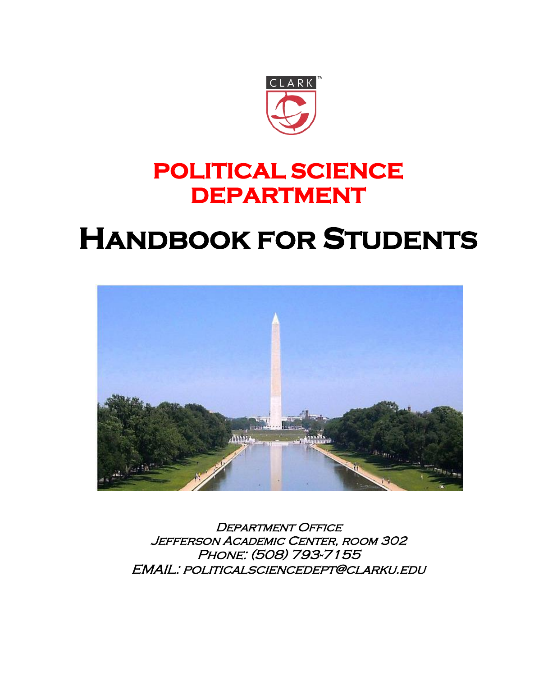

## **POLITICAL SCIENCE DEPARTMENT**

# **HANDBOOK FOR STUDENTS**



DEPARTMENT OFFICE Jefferson Academic Center, room 302 Phone: (508) 793-7155 EMAIL: politicalsciencedept@clarku.edu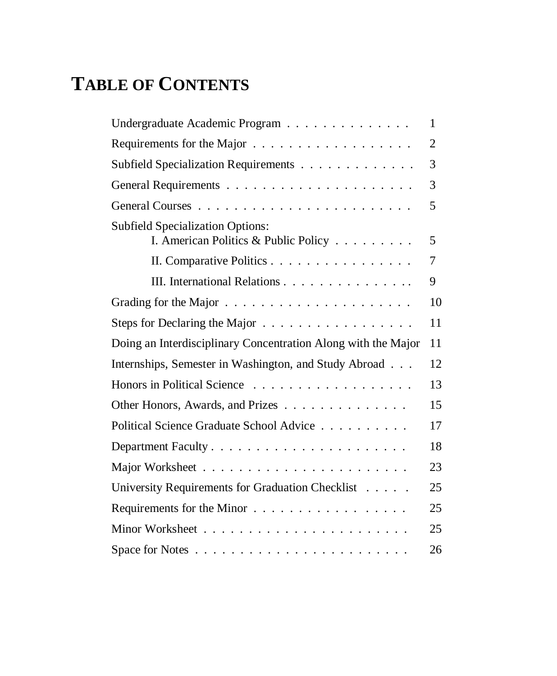## **TABLE OF CONTENTS**

| Undergraduate Academic Program                                                  | 1  |
|---------------------------------------------------------------------------------|----|
|                                                                                 | 2  |
| Subfield Specialization Requirements                                            | 3  |
|                                                                                 | 3  |
|                                                                                 | 5  |
| <b>Subfield Specialization Options:</b><br>I. American Politics & Public Policy | 5  |
| II. Comparative Politics                                                        | 7  |
| III. International Relations                                                    | 9  |
|                                                                                 | 10 |
| Steps for Declaring the Major                                                   | 11 |
| Doing an Interdisciplinary Concentration Along with the Major                   | 11 |
| Internships, Semester in Washington, and Study Abroad                           | 12 |
|                                                                                 | 13 |
| Other Honors, Awards, and Prizes                                                | 15 |
| Political Science Graduate School Advice                                        | 17 |
|                                                                                 | 18 |
|                                                                                 | 23 |
| University Requirements for Graduation Checklist                                | 25 |
| Requirements for the Minor                                                      | 25 |
|                                                                                 | 25 |
|                                                                                 | 26 |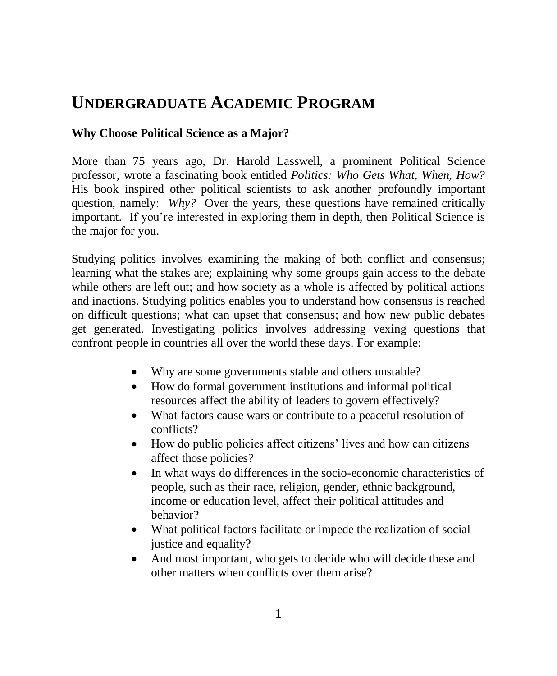## **UNDERGRADUATE ACADEMIC PROGRAM**

#### **Why Choose Political Science as a Major?**

More than 75 years ago, Dr. Harold Lasswell, a prominent Political Science professor, wrote a fascinating book entitled *Politics: Who Gets What, When, How?* His book inspired other political scientists to ask another profoundly important question, namely: *Why?* Over the years, these questions have remained critically important. If you're interested in exploring them in depth, then Political Science is the major for you.

Studying politics involves examining the making of both conflict and consensus; learning what the stakes are; explaining why some groups gain access to the debate while others are left out; and how society as a whole is affected by political actions and inactions. Studying politics enables you to understand how consensus is reached on difficult questions; what can upset that consensus; and how new public debates get generated. Investigating politics involves addressing vexing questions that confront people in countries all over the world these days. For example:

- Why are some governments stable and others unstable?
- How do formal government institutions and informal political resources affect the ability of leaders to govern effectively?
- What factors cause wars or contribute to a peaceful resolution of conflicts?
- How do public policies affect citizens' lives and how can citizens affect those policies?
- In what ways do differences in the socio-economic characteristics of people, such as their race, religion, gender, ethnic background, income or education level, affect their political attitudes and behavior?
- What political factors facilitate or impede the realization of social justice and equality?
- And most important, who gets to decide who will decide these and other matters when conflicts over them arise?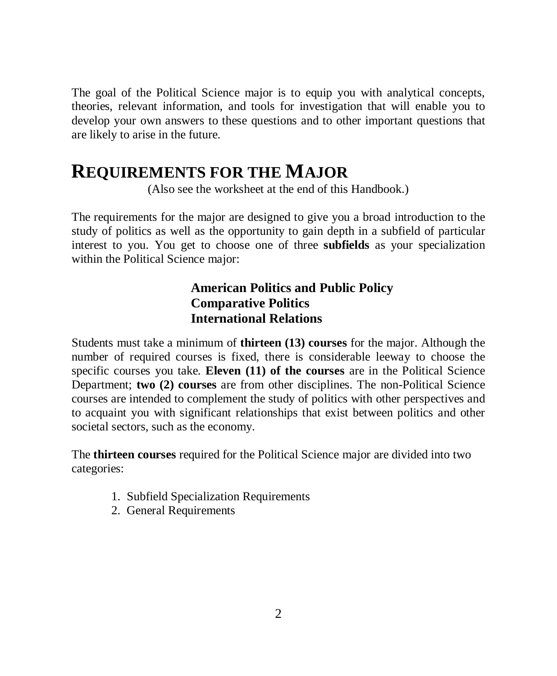The goal of the Political Science major is to equip you with analytical concepts, theories, relevant information, and tools for investigation that will enable you to develop your own answers to these questions and to other important questions that are likely to arise in the future.

## **REQUIREMENTS FOR THE MAJOR**

(Also see the worksheet at the end of this Handbook.)

The requirements for the major are designed to give you a broad introduction to the study of politics as well as the opportunity to gain depth in a subfield of particular interest to you. You get to choose one of three **subfields** as your specialization within the Political Science major:

#### **American Politics and Public Policy Comparative Politics International Relations**

Students must take a minimum of **thirteen (13) courses** for the major. Although the number of required courses is fixed, there is considerable leeway to choose the specific courses you take. **Eleven (11) of the courses** are in the Political Science Department; **two (2) courses** are from other disciplines. The non-Political Science courses are intended to complement the study of politics with other perspectives and to acquaint you with significant relationships that exist between politics and other societal sectors, such as the economy.

The **thirteen courses** required for the Political Science major are divided into two categories:

- 1. Subfield Specialization Requirements
- 2. General Requirements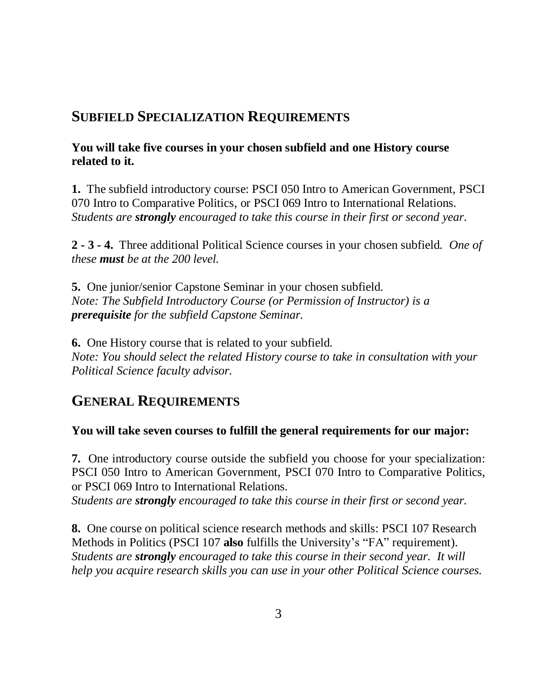#### **SUBFIELD SPECIALIZATION REQUIREMENTS**

#### **You will take five courses in your chosen subfield and one History course related to it.**

**1.** The subfield introductory course: PSCI 050 Intro to American Government, PSCI 070 Intro to Comparative Politics, or PSCI 069 Intro to International Relations. *Students are strongly encouraged to take this course in their first or second year.*

**2 - 3 - 4.** Three additional Political Science courses in your chosen subfield. *One of these must be at the 200 level.*

**5.** One junior/senior Capstone Seminar in your chosen subfield. *Note: The Subfield Introductory Course (or Permission of Instructor) is a prerequisite for the subfield Capstone Seminar.* 

**6.** One History course that is related to your subfield. *Note: You should select the related History course to take in consultation with your Political Science faculty advisor.*

#### **GENERAL REQUIREMENTS**

#### **You will take seven courses to fulfill the general requirements for our major:**

**7.** One introductory course outside the subfield you choose for your specialization: PSCI 050 Intro to American Government, PSCI 070 Intro to Comparative Politics, or PSCI 069 Intro to International Relations.

*Students are strongly encouraged to take this course in their first or second year.*

**8.** One course on political science research methods and skills: PSCI 107 Research Methods in Politics (PSCI 107 **also** fulfills the University's "FA" requirement). *Students are strongly encouraged to take this course in their second year. It will help you acquire research skills you can use in your other Political Science courses.*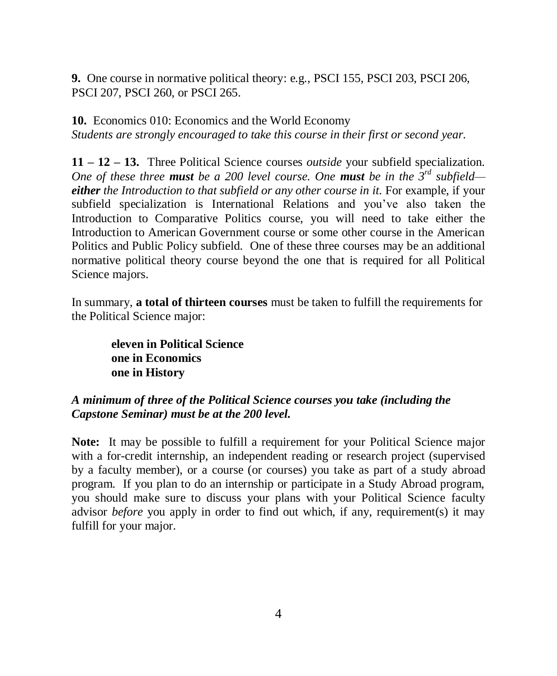**9.** One course in normative political theory: e.g., PSCI 155, PSCI 203, PSCI 206, PSCI 207, PSCI 260, or PSCI 265.

**10.** Economics 010: Economics and the World Economy *Students are strongly encouraged to take this course in their first or second year.*

**11 – 12 – 13.** Three Political Science courses *outside* your subfield specialization. *One of these three must be a 200 level course. One must be in the 3rd subfield either the Introduction to that subfield or any other course in it.* For example, if your subfield specialization is International Relations and you've also taken the Introduction to Comparative Politics course, you will need to take either the Introduction to American Government course or some other course in the American Politics and Public Policy subfield. One of these three courses may be an additional normative political theory course beyond the one that is required for all Political Science majors.

In summary, **a total of thirteen courses** must be taken to fulfill the requirements for the Political Science major:

**eleven in Political Science one in Economics one in History**

#### *A minimum of three of the Political Science courses you take (including the Capstone Seminar) must be at the 200 level.*

**Note:** It may be possible to fulfill a requirement for your Political Science major with a for-credit internship, an independent reading or research project (supervised by a faculty member), or a course (or courses) you take as part of a study abroad program. If you plan to do an internship or participate in a Study Abroad program, you should make sure to discuss your plans with your Political Science faculty advisor *before* you apply in order to find out which, if any, requirement(s) it may fulfill for your major.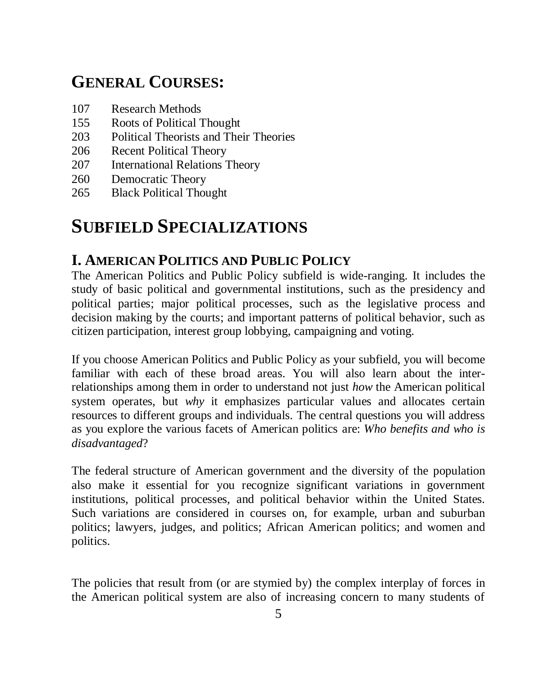## **GENERAL COURSES:**

- 107 Research Methods
- 155 Roots of Political Thought
- 203 Political Theorists and Their Theories
- 206 Recent Political Theory
- 207 International Relations Theory
- 260 Democratic Theory
- 265 Black Political Thought

## **SUBFIELD SPECIALIZATIONS**

#### **I. AMERICAN POLITICS AND PUBLIC POLICY**

The American Politics and Public Policy subfield is wide-ranging. It includes the study of basic political and governmental institutions, such as the presidency and political parties; major political processes, such as the legislative process and decision making by the courts; and important patterns of political behavior, such as citizen participation, interest group lobbying, campaigning and voting.

If you choose American Politics and Public Policy as your subfield, you will become familiar with each of these broad areas. You will also learn about the interrelationships among them in order to understand not just *how* the American political system operates, but *why* it emphasizes particular values and allocates certain resources to different groups and individuals. The central questions you will address as you explore the various facets of American politics are: *Who benefits and who is disadvantaged*?

The federal structure of American government and the diversity of the population also make it essential for you recognize significant variations in government institutions, political processes, and political behavior within the United States. Such variations are considered in courses on, for example, urban and suburban politics; lawyers, judges, and politics; African American politics; and women and politics.

The policies that result from (or are stymied by) the complex interplay of forces in the American political system are also of increasing concern to many students of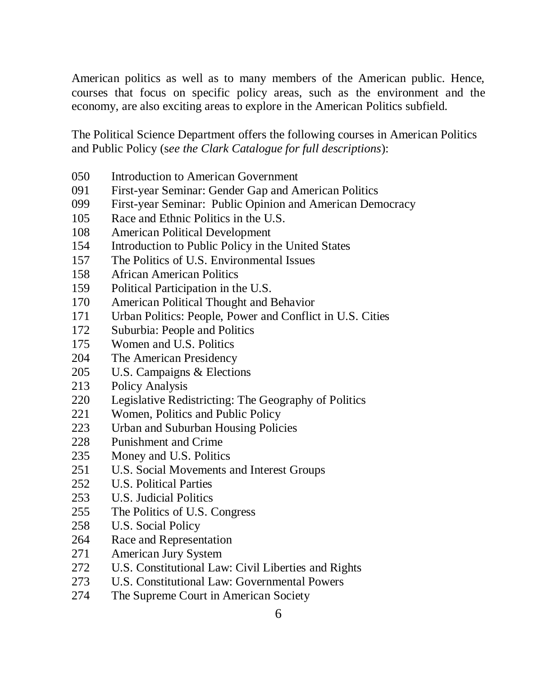American politics as well as to many members of the American public. Hence, courses that focus on specific policy areas, such as the environment and the economy, are also exciting areas to explore in the American Politics subfield.

The Political Science Department offers the following courses in American Politics and Public Policy (s*ee the Clark Catalogue for full descriptions*):

- 050 Introduction to American Government
- 091 First-year Seminar: Gender Gap and American Politics
- 099 First-year Seminar: Public Opinion and American Democracy
- 105 Race and Ethnic Politics in the U.S.
- 108 American Political Development
- 154 Introduction to Public Policy in the United States
- 157 The Politics of U.S. Environmental Issues
- 158 African American Politics
- 159 Political Participation in the U.S.
- 170 American Political Thought and Behavior
- 171 Urban Politics: People, Power and Conflict in U.S. Cities
- 172 Suburbia: People and Politics
- 175 Women and U.S. Politics
- 204 The American Presidency
- 205 U.S. Campaigns & Elections
- 213 Policy Analysis
- 220 Legislative Redistricting: The Geography of Politics
- 221 Women, Politics and Public Policy
- 223 Urban and Suburban Housing Policies
- 228 Punishment and Crime
- 235 Money and U.S. Politics
- 251 U.S. Social Movements and Interest Groups
- 252 U.S. Political Parties
- 253 U.S. Judicial Politics
- 255 The Politics of U.S. Congress
- 258 U.S. Social Policy
- 264 Race and Representation
- 271 American Jury System
- 272 U.S. Constitutional Law: Civil Liberties and Rights
- 273 U.S. Constitutional Law: Governmental Powers
- 274 The Supreme Court in American Society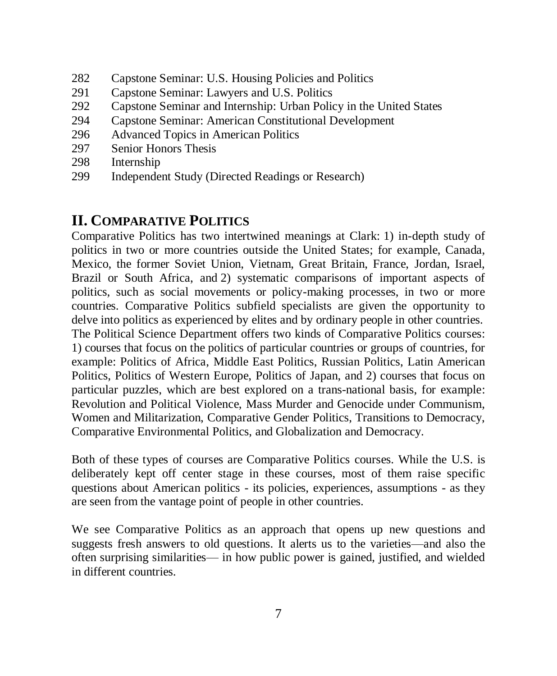- 282 Capstone Seminar: U.S. Housing Policies and Politics
- 291 Capstone Seminar: Lawyers and U.S. Politics
- 292 Capstone Seminar and Internship: Urban Policy in the United States
- 294 Capstone Seminar: American Constitutional Development
- 296 Advanced Topics in American Politics
- 297 Senior Honors Thesis
- 298 Internship
- 299 Independent Study (Directed Readings or Research)

#### **II. COMPARATIVE POLITICS**

Comparative Politics has two intertwined meanings at Clark: 1) in-depth study of politics in two or more countries outside the United States; for example, Canada, Mexico, the former Soviet Union, Vietnam, Great Britain, France, Jordan, Israel, Brazil or South Africa, and 2) systematic comparisons of important aspects of politics, such as social movements or policy-making processes, in two or more countries. Comparative Politics subfield specialists are given the opportunity to delve into politics as experienced by elites and by ordinary people in other countries. The Political Science Department offers two kinds of Comparative Politics courses: 1) courses that focus on the politics of particular countries or groups of countries, for example: Politics of Africa, Middle East Politics, Russian Politics, Latin American Politics, Politics of Western Europe, Politics of Japan, and 2) courses that focus on particular puzzles, which are best explored on a trans-national basis, for example: Revolution and Political Violence, Mass Murder and Genocide under Communism, Women and Militarization, Comparative Gender Politics, Transitions to Democracy, Comparative Environmental Politics, and Globalization and Democracy.

Both of these types of courses are Comparative Politics courses. While the U.S. is deliberately kept off center stage in these courses, most of them raise specific questions about American politics - its policies, experiences, assumptions - as they are seen from the vantage point of people in other countries.

We see Comparative Politics as an approach that opens up new questions and suggests fresh answers to old questions. It alerts us to the varieties—and also the often surprising similarities— in how public power is gained, justified, and wielded in different countries.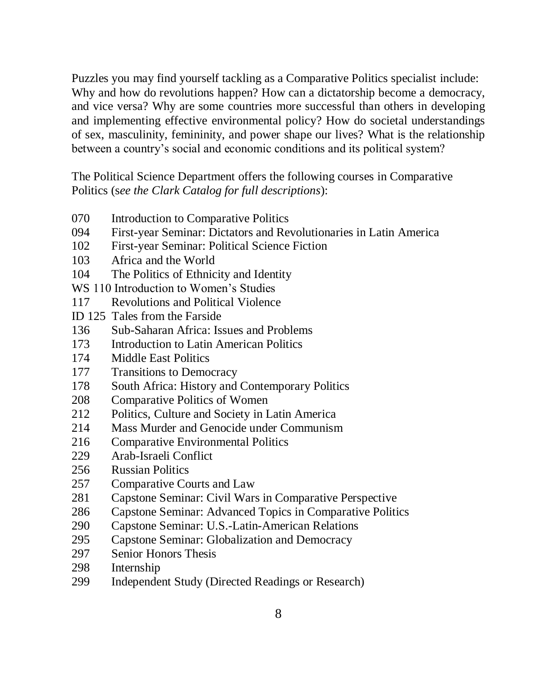Puzzles you may find yourself tackling as a Comparative Politics specialist include: Why and how do revolutions happen? How can a dictatorship become a democracy, and vice versa? Why are some countries more successful than others in developing and implementing effective environmental policy? How do societal understandings of sex, masculinity, femininity, and power shape our lives? What is the relationship between a country's social and economic conditions and its political system?

The Political Science Department offers the following courses in Comparative Politics (s*ee the Clark Catalog for full descriptions*):

- 070 Introduction to Comparative Politics
- 094 First-year Seminar: Dictators and Revolutionaries in Latin America
- 102 First-year Seminar: Political Science Fiction
- 103 Africa and the World
- 104 The Politics of Ethnicity and Identity
- WS 110 Introduction to Women's Studies
- 117 Revolutions and Political Violence
- ID 125 Tales from the Farside
- 136 Sub-Saharan Africa: Issues and Problems
- 173 Introduction to Latin American Politics
- 174 Middle East Politics
- 177 Transitions to Democracy
- 178 South Africa: History and Contemporary Politics
- 208 Comparative Politics of Women
- 212 Politics, Culture and Society in Latin America
- 214 Mass Murder and Genocide under Communism
- 216 Comparative Environmental Politics
- 229 Arab-Israeli Conflict
- 256 Russian Politics
- 257 Comparative Courts and Law
- 281 Capstone Seminar: Civil Wars in Comparative Perspective
- 286 Capstone Seminar: Advanced Topics in Comparative Politics
- 290 Capstone Seminar: U.S.-Latin-American Relations
- 295 Capstone Seminar: Globalization and Democracy
- 297 Senior Honors Thesis
- 298 Internship
- 299 Independent Study (Directed Readings or Research)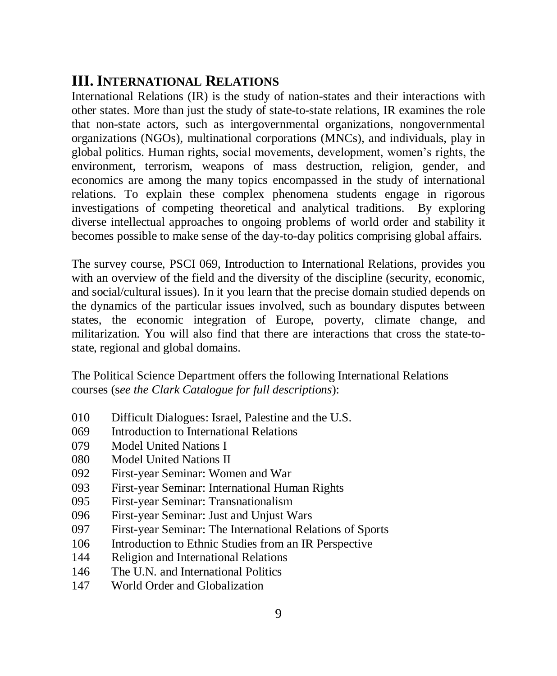## **III. INTERNATIONAL RELATIONS**

International Relations (IR) is the study of nation-states and their interactions with other states. More than just the study of state-to-state relations, IR examines the role that non-state actors, such as intergovernmental organizations, nongovernmental organizations (NGOs), multinational corporations (MNCs), and individuals, play in global politics. Human rights, social movements, development, women's rights, the environment, terrorism, weapons of mass destruction, religion, gender, and economics are among the many topics encompassed in the study of international relations. To explain these complex phenomena students engage in rigorous investigations of competing theoretical and analytical traditions. By exploring diverse intellectual approaches to ongoing problems of world order and stability it becomes possible to make sense of the day-to-day politics comprising global affairs.

The survey course, PSCI 069, Introduction to International Relations, provides you with an overview of the field and the diversity of the discipline (security, economic, and social/cultural issues). In it you learn that the precise domain studied depends on the dynamics of the particular issues involved, such as boundary disputes between states, the economic integration of Europe, poverty, climate change, and militarization. You will also find that there are interactions that cross the state-tostate, regional and global domains.

The Political Science Department offers the following International Relations courses (s*ee the Clark Catalogue for full descriptions*):

- 010 Difficult Dialogues: Israel, Palestine and the U.S.
- 069 Introduction to International Relations
- 079 Model United Nations I
- 080 Model United Nations II
- 092 First-year Seminar: Women and War
- 093 First-year Seminar: International Human Rights
- 095 First-year Seminar: Transnationalism
- 096 First-year Seminar: Just and Unjust Wars
- 097 First-year Seminar: The International Relations of Sports
- 106 Introduction to Ethnic Studies from an IR Perspective
- 144 Religion and International Relations
- 146 The U.N. and International Politics
- 147 World Order and Globalization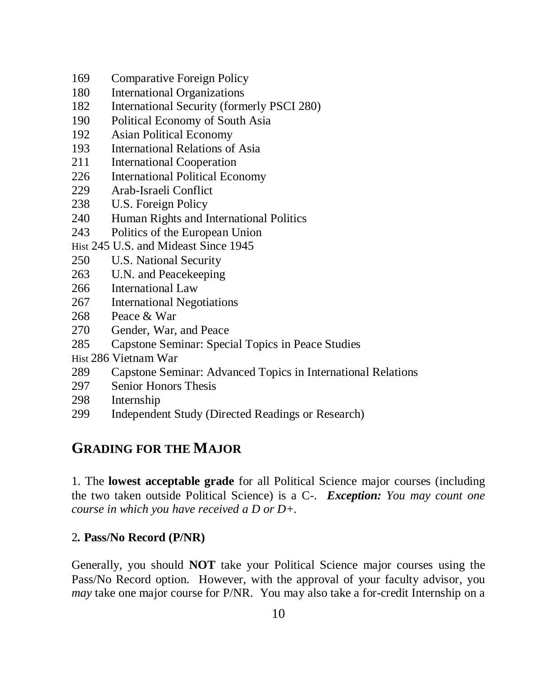- 169 Comparative Foreign Policy
- 180 International Organizations
- 182 International Security (formerly PSCI 280)
- 190 Political Economy of South Asia
- 192 Asian Political Economy
- 193 International Relations of Asia
- 211 International Cooperation
- 226 International Political Economy
- 229 Arab-Israeli Conflict
- 238 U.S. Foreign Policy
- 240 Human Rights and International Politics
- 243 Politics of the European Union
- Hist 245 U.S. and Mideast Since 1945
- 250 U.S. National Security
- 263 U.N. and Peacekeeping
- 266 International Law
- 267 International Negotiations
- 268 Peace & War
- 270 Gender, War, and Peace
- 285 Capstone Seminar: Special Topics in Peace Studies
- Hist 286 Vietnam War
- 289 Capstone Seminar: Advanced Topics in International Relations
- 297 Senior Honors Thesis
- 298 Internship
- 299 Independent Study (Directed Readings or Research)

#### **GRADING FOR THE MAJOR**

1. The **lowest acceptable grade** for all Political Science major courses (including the two taken outside Political Science) is a C-. *Exception: You may count one course in which you have received a D or D+.*

#### 2*.* **Pass/No Record (P/NR)**

Generally, you should **NOT** take your Political Science major courses using the Pass/No Record option. However, with the approval of your faculty advisor, you *may* take one major course for P/NR. You may also take a for-credit Internship on a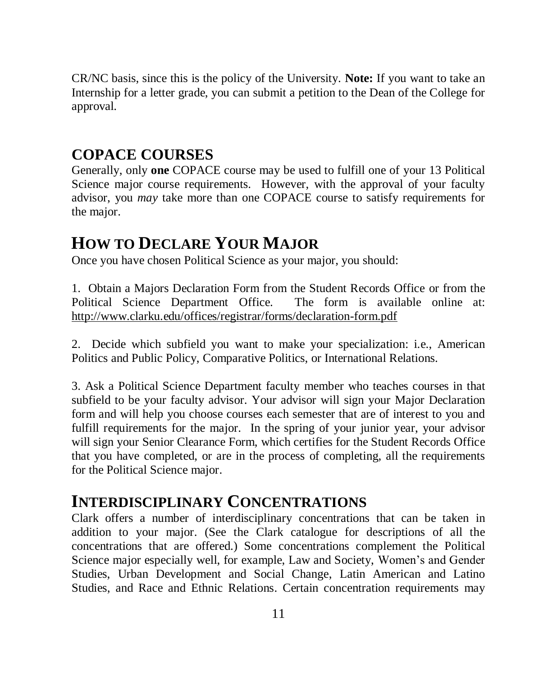CR/NC basis, since this is the policy of the University. **Note:** If you want to take an Internship for a letter grade, you can submit a petition to the Dean of the College for approval.

#### **COPACE COURSES**

Generally, only **one** COPACE course may be used to fulfill one of your 13 Political Science major course requirements. However, with the approval of your faculty advisor, you *may* take more than one COPACE course to satisfy requirements for the major.

## **HOW TO DECLARE YOUR MAJOR**

Once you have chosen Political Science as your major, you should:

1. Obtain a Majors Declaration Form from the Student Records Office or from the Political Science Department Office. The form is available online at: http://www.clarku.edu/offices/registrar/forms/declaration-form.pdf

2. Decide which subfield you want to make your specialization: i.e., American Politics and Public Policy, Comparative Politics, or International Relations.

3. Ask a Political Science Department faculty member who teaches courses in that subfield to be your faculty advisor. Your advisor will sign your Major Declaration form and will help you choose courses each semester that are of interest to you and fulfill requirements for the major. In the spring of your junior year, your advisor will sign your Senior Clearance Form, which certifies for the Student Records Office that you have completed, or are in the process of completing, all the requirements for the Political Science major.

### **INTERDISCIPLINARY CONCENTRATIONS**

Clark offers a number of interdisciplinary concentrations that can be taken in addition to your major. (See the Clark catalogue for descriptions of all the concentrations that are offered.) Some concentrations complement the Political Science major especially well, for example, Law and Society, Women's and Gender Studies, Urban Development and Social Change, Latin American and Latino Studies, and Race and Ethnic Relations. Certain concentration requirements may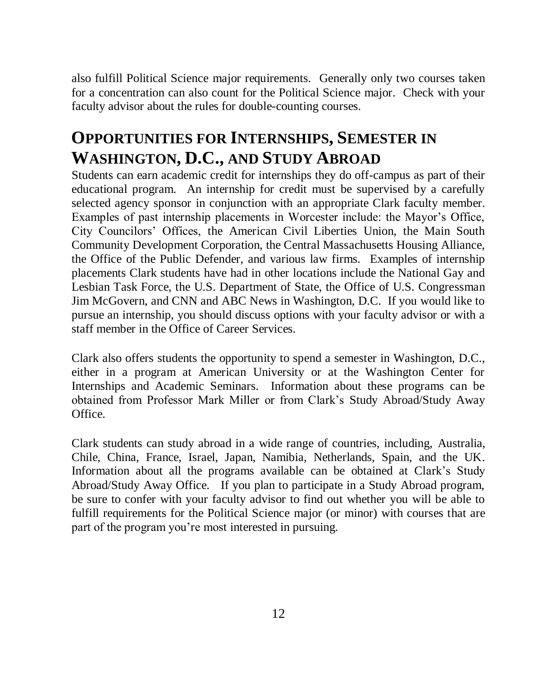also fulfill Political Science major requirements. Generally only two courses taken for a concentration can also count for the Political Science major. Check with your faculty advisor about the rules for double-counting courses.

## **OPPORTUNITIES FOR INTERNSHIPS, SEMESTER IN WASHINGTON, D.C., AND STUDY ABROAD**

Students can earn academic credit for internships they do off-campus as part of their educational program. An internship for credit must be supervised by a carefully selected agency sponsor in conjunction with an appropriate Clark faculty member. Examples of past internship placements in Worcester include: the Mayor's Office, City Councilors' Offices, the American Civil Liberties Union, the Main South Community Development Corporation, the Central Massachusetts Housing Alliance, the Office of the Public Defender, and various law firms. Examples of internship placements Clark students have had in other locations include the National Gay and Lesbian Task Force, the U.S. Department of State, the Office of U.S. Congressman Jim McGovern, and CNN and ABC News in Washington, D.C. If you would like to pursue an internship, you should discuss options with your faculty advisor or with a staff member in the Office of Career Services.

Clark also offers students the opportunity to spend a semester in Washington, D.C., either in a program at American University or at the Washington Center for Internships and Academic Seminars. Information about these programs can be obtained from Professor Mark Miller or from Clark's Study Abroad/Study Away Office.

Clark students can study abroad in a wide range of countries, including, Australia, Chile, China, France, Israel, Japan, Namibia, Netherlands, Spain, and the UK. Information about all the programs available can be obtained at Clark's Study Abroad/Study Away Office. If you plan to participate in a Study Abroad program, be sure to confer with your faculty advisor to find out whether you will be able to fulfill requirements for the Political Science major (or minor) with courses that are part of the program you're most interested in pursuing.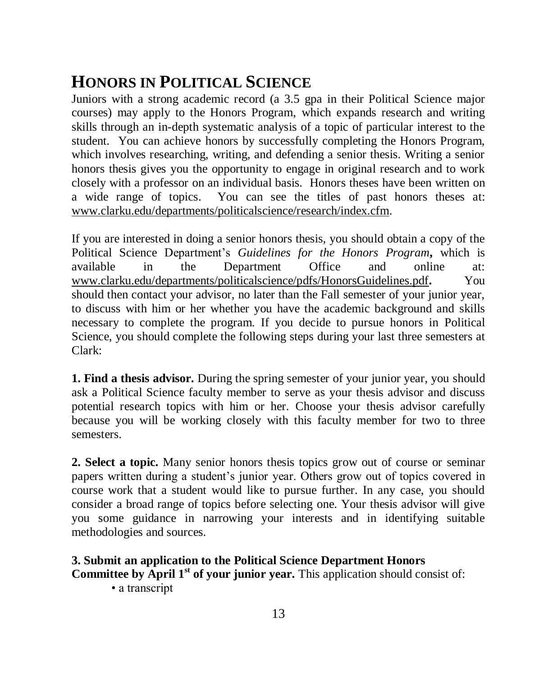## **HONORS IN POLITICAL SCIENCE**

Juniors with a strong academic record (a 3.5 gpa in their Political Science major courses) may apply to the Honors Program, which expands research and writing skills through an in-depth systematic analysis of a topic of particular interest to the student. You can achieve honors by successfully completing the Honors Program, which involves researching, writing, and defending a senior thesis. Writing a senior honors thesis gives you the opportunity to engage in original research and to work closely with a professor on an individual basis. Honors theses have been written on a wide range of topics. You can see the titles of past honors theses at: [www.clarku.edu/departments/politicalscience/research/index.cfm.](http://www.clarku.edu/departments/politicalscience/research/index.cfm)

If you are interested in doing a senior honors thesis, you should obtain a copy of the Political Science Department's *Guidelines for the Honors Program***,** which is available in the Department Office and online at: [www.clarku.edu/departments/politicalscience/pdfs/HonorsGuidelines.pdf](http://www.clarku.edu/departments/politicalscience/pdfs/HonorsGuidelines.pdf)**.** You should then contact your advisor, no later than the Fall semester of your junior year, to discuss with him or her whether you have the academic background and skills necessary to complete the program. If you decide to pursue honors in Political Science, you should complete the following steps during your last three semesters at Clark:

**1. Find a thesis advisor.** During the spring semester of your junior year, you should ask a Political Science faculty member to serve as your thesis advisor and discuss potential research topics with him or her. Choose your thesis advisor carefully because you will be working closely with this faculty member for two to three semesters.

**2. Select a topic.** Many senior honors thesis topics grow out of course or seminar papers written during a student's junior year. Others grow out of topics covered in course work that a student would like to pursue further. In any case, you should consider a broad range of topics before selecting one. Your thesis advisor will give you some guidance in narrowing your interests and in identifying suitable methodologies and sources.

#### **3. Submit an application to the Political Science Department Honors**

**Committee by April 1st of your junior year.** This application should consist of:

• a transcript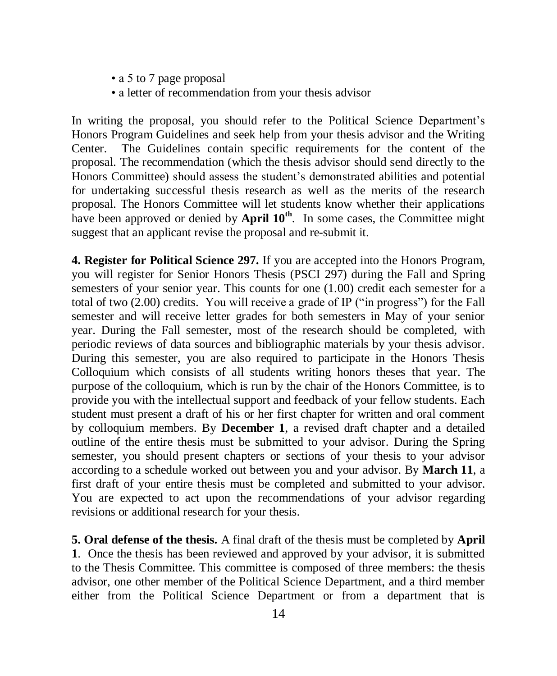- a 5 to 7 page proposal
- a letter of recommendation from your thesis advisor

In writing the proposal, you should refer to the Political Science Department's Honors Program Guidelines and seek help from your thesis advisor and the Writing Center. The Guidelines contain specific requirements for the content of the proposal. The recommendation (which the thesis advisor should send directly to the Honors Committee) should assess the student's demonstrated abilities and potential for undertaking successful thesis research as well as the merits of the research proposal. The Honors Committee will let students know whether their applications have been approved or denied by **April 10<sup>th</sup>**. In some cases, the Committee might suggest that an applicant revise the proposal and re-submit it.

**4. Register for Political Science 297.** If you are accepted into the Honors Program, you will register for Senior Honors Thesis (PSCI 297) during the Fall and Spring semesters of your senior year. This counts for one (1.00) credit each semester for a total of two (2.00) credits. You will receive a grade of IP ("in progress") for the Fall semester and will receive letter grades for both semesters in May of your senior year. During the Fall semester, most of the research should be completed, with periodic reviews of data sources and bibliographic materials by your thesis advisor. During this semester, you are also required to participate in the Honors Thesis Colloquium which consists of all students writing honors theses that year. The purpose of the colloquium, which is run by the chair of the Honors Committee, is to provide you with the intellectual support and feedback of your fellow students. Each student must present a draft of his or her first chapter for written and oral comment by colloquium members. By **December 1**, a revised draft chapter and a detailed outline of the entire thesis must be submitted to your advisor. During the Spring semester, you should present chapters or sections of your thesis to your advisor according to a schedule worked out between you and your advisor. By **March 11**, a first draft of your entire thesis must be completed and submitted to your advisor. You are expected to act upon the recommendations of your advisor regarding revisions or additional research for your thesis.

**5. Oral defense of the thesis.** A final draft of the thesis must be completed by **April 1**. Once the thesis has been reviewed and approved by your advisor, it is submitted to the Thesis Committee. This committee is composed of three members: the thesis advisor, one other member of the Political Science Department, and a third member either from the Political Science Department or from a department that is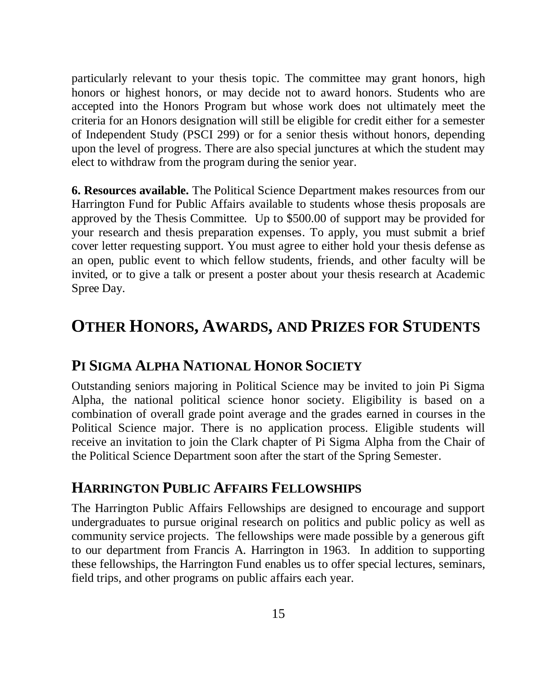particularly relevant to your thesis topic. The committee may grant honors, high honors or highest honors, or may decide not to award honors. Students who are accepted into the Honors Program but whose work does not ultimately meet the criteria for an Honors designation will still be eligible for credit either for a semester of Independent Study (PSCI 299) or for a senior thesis without honors, depending upon the level of progress. There are also special junctures at which the student may elect to withdraw from the program during the senior year.

**6. Resources available.** The Political Science Department makes resources from our Harrington Fund for Public Affairs available to students whose thesis proposals are approved by the Thesis Committee. Up to \$500.00 of support may be provided for your research and thesis preparation expenses. To apply, you must submit a brief cover letter requesting support. You must agree to either hold your thesis defense as an open, public event to which fellow students, friends, and other faculty will be invited, or to give a talk or present a poster about your thesis research at Academic Spree Day.

## **OTHER HONORS, AWARDS, AND PRIZES FOR STUDENTS**

#### **PI SIGMA ALPHA NATIONAL HONOR SOCIETY**

Outstanding seniors majoring in Political Science may be invited to join Pi Sigma Alpha, the national political science honor society. Eligibility is based on a combination of overall grade point average and the grades earned in courses in the Political Science major. There is no application process. Eligible students will receive an invitation to join the Clark chapter of Pi Sigma Alpha from the Chair of the Political Science Department soon after the start of the Spring Semester.

#### **HARRINGTON PUBLIC AFFAIRS FELLOWSHIPS**

The Harrington Public Affairs Fellowships are designed to encourage and support undergraduates to pursue original research on politics and public policy as well as community service projects. The fellowships were made possible by a generous gift to our department from Francis A. Harrington in 1963. In addition to supporting these fellowships, the Harrington Fund enables us to offer special lectures, seminars, field trips, and other programs on public affairs each year.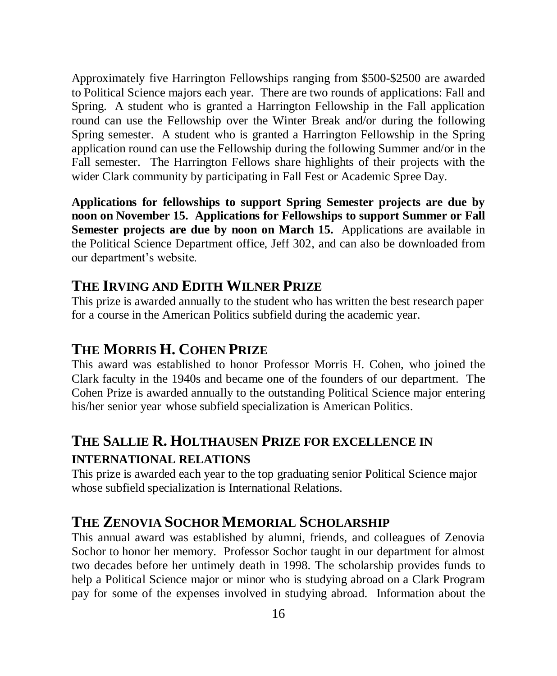Approximately five Harrington Fellowships ranging from \$500-\$2500 are awarded to Political Science majors each year. There are two rounds of applications: Fall and Spring. A student who is granted a Harrington Fellowship in the Fall application round can use the Fellowship over the Winter Break and/or during the following Spring semester. A student who is granted a Harrington Fellowship in the Spring application round can use the Fellowship during the following Summer and/or in the Fall semester. The Harrington Fellows share highlights of their projects with the wider Clark community by participating in Fall Fest or Academic Spree Day.

**Applications for fellowships to support Spring Semester projects are due by noon on November 15. Applications for Fellowships to support Summer or Fall Semester projects are due by noon on March 15.** Applications are available in the Political Science Department office, Jeff 302, and can also be downloaded from our department's website.

#### **THE IRVING AND EDITH WILNER PRIZE**

This prize is awarded annually to the student who has written the best research paper for a course in the American Politics subfield during the academic year.

#### **THE MORRIS H. COHEN PRIZE**

This award was established to honor Professor Morris H. Cohen, who joined the Clark faculty in the 1940s and became one of the founders of our department. The Cohen Prize is awarded annually to the outstanding Political Science major entering his/her senior year whose subfield specialization is American Politics.

### **THE SALLIE R. HOLTHAUSEN PRIZE FOR EXCELLENCE IN INTERNATIONAL RELATIONS**

This prize is awarded each year to the top graduating senior Political Science major whose subfield specialization is International Relations.

### **THE ZENOVIA SOCHOR MEMORIAL SCHOLARSHIP**

This annual award was established by alumni, friends, and colleagues of Zenovia Sochor to honor her memory. Professor Sochor taught in our department for almost two decades before her untimely death in 1998. The scholarship provides funds to help a Political Science major or minor who is studying abroad on a Clark Program pay for some of the expenses involved in studying abroad. Information about the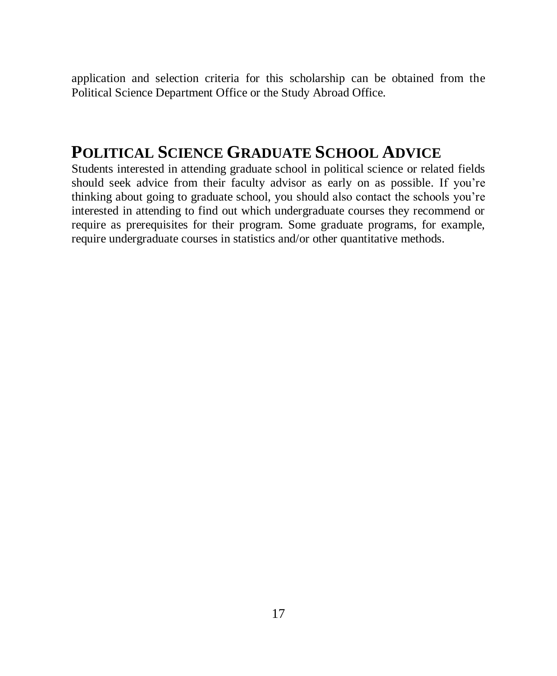application and selection criteria for this scholarship can be obtained from the Political Science Department Office or the Study Abroad Office.

## **POLITICAL SCIENCE GRADUATE SCHOOL ADVICE**

Students interested in attending graduate school in political science or related fields should seek advice from their faculty advisor as early on as possible. If you're thinking about going to graduate school, you should also contact the schools you're interested in attending to find out which undergraduate courses they recommend or require as prerequisites for their program. Some graduate programs, for example, require undergraduate courses in statistics and/or other quantitative methods.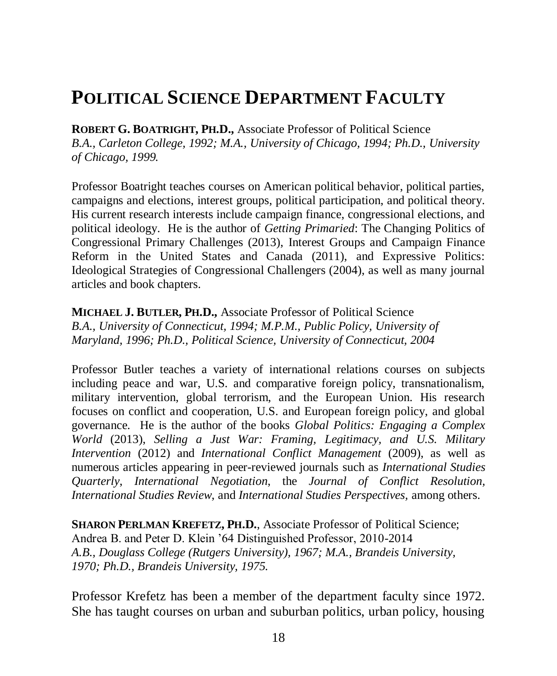## **POLITICAL SCIENCE DEPARTMENT FACULTY**

**ROBERT G. BOATRIGHT, PH.D.,** Associate Professor of Political Science *B.A., Carleton College, 1992; M.A., University of Chicago, 1994; Ph.D., University of Chicago, 1999.*

Professor Boatright teaches courses on American political behavior, political parties, campaigns and elections, interest groups, political participation, and political theory. His current research interests include campaign finance, congressional elections, and political ideology. He is the author of *Getting Primaried*: The Changing Politics of Congressional Primary Challenges (2013), Interest Groups and Campaign Finance Reform in the United States and Canada (2011), and Expressive Politics: Ideological Strategies of Congressional Challengers (2004), as well as many journal articles and book chapters.

**MICHAEL J. BUTLER, PH.D.,** Associate Professor of Political Science *B.A., University of Connecticut, 1994; M.P.M., Public Policy, University of Maryland, 1996; Ph.D., Political Science, University of Connecticut, 2004*

Professor Butler teaches a variety of international relations courses on subjects including peace and war, U.S. and comparative foreign policy, transnationalism, military intervention, global terrorism, and the European Union. His research focuses on conflict and cooperation, U.S. and European foreign policy, and global governance. He is the author of the books *Global Politics: Engaging a Complex World* (2013), *Selling a Just War: Framing, Legitimacy, and U.S. Military Intervention* (2012) and *International Conflict Management* (2009), as well as numerous articles appearing in peer-reviewed journals such as *International Studies Quarterly*, *International Negotiation*, the *Journal of Conflict Resolution, International Studies Review*, and *International Studies Perspectives,* among others.

**SHARON PERLMAN KREFETZ, PH.D.**, Associate Professor of Political Science; Andrea B. and Peter D. Klein '64 Distinguished Professor, 2010-2014 *A.B., Douglass College (Rutgers University), 1967; M.A., Brandeis University, 1970; Ph.D., Brandeis University, 1975.*

Professor Krefetz has been a member of the department faculty since 1972. She has taught courses on urban and suburban politics, urban policy, housing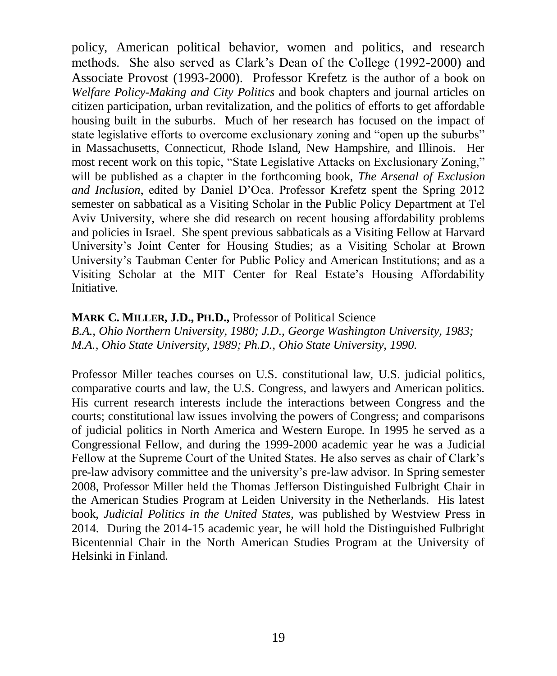policy, American political behavior, women and politics, and research methods. She also served as Clark's Dean of the College (1992-2000) and Associate Provost (1993-2000). Professor Krefetz is the author of a book on *Welfare Policy-Making and City Politics* and book chapters and journal articles on citizen participation, urban revitalization, and the politics of efforts to get affordable housing built in the suburbs. Much of her research has focused on the impact of state legislative efforts to overcome exclusionary zoning and "open up the suburbs" in Massachusetts, Connecticut, Rhode Island, New Hampshire, and Illinois. Her most recent work on this topic, "State Legislative Attacks on Exclusionary Zoning," will be published as a chapter in the forthcoming book, *The Arsenal of Exclusion and Inclusion*, edited by Daniel D'Oca. Professor Krefetz spent the Spring 2012 semester on sabbatical as a Visiting Scholar in the Public Policy Department at Tel Aviv University, where she did research on recent housing affordability problems and policies in Israel. She spent previous sabbaticals as a Visiting Fellow at Harvard University's Joint Center for Housing Studies; as a Visiting Scholar at Brown University's Taubman Center for Public Policy and American Institutions; and as a Visiting Scholar at the MIT Center for Real Estate's Housing Affordability Initiative.

#### **MARK C. MILLER, J.D., PH.D.,** Professor of Political Science

*B.A., Ohio Northern University, 1980; J.D., George Washington University, 1983; M.A., Ohio State University, 1989; Ph.D., Ohio State University, 1990.* 

Professor Miller teaches courses on U.S. constitutional law, U.S. judicial politics, comparative courts and law, the U.S. Congress, and lawyers and American politics. His current research interests include the interactions between Congress and the courts; constitutional law issues involving the powers of Congress; and comparisons of judicial politics in North America and Western Europe. In 1995 he served as a Congressional Fellow, and during the 1999-2000 academic year he was a Judicial Fellow at the Supreme Court of the United States. He also serves as chair of Clark's pre-law advisory committee and the university's pre-law advisor. In Spring semester 2008, Professor Miller held the Thomas Jefferson Distinguished Fulbright Chair in the American Studies Program at Leiden University in the Netherlands. His latest book, *Judicial Politics in the United States,* was published by Westview Press in 2014. During the 2014-15 academic year, he will hold the Distinguished Fulbright Bicentennial Chair in the North American Studies Program at the University of Helsinki in Finland.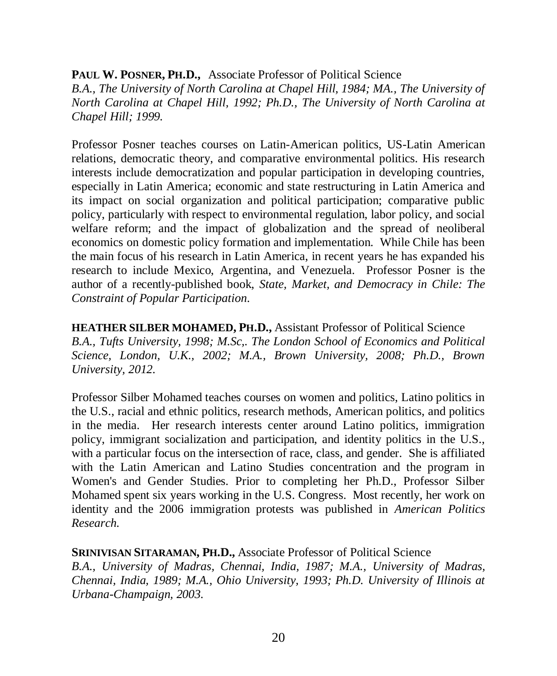#### **PAUL W. POSNER, PH.D.,** Associate Professor of Political Science

*B.A., The University of North Carolina at Chapel Hill, 1984; MA., The University of North Carolina at Chapel Hill, 1992; Ph.D., The University of North Carolina at Chapel Hill; 1999.* 

Professor Posner teaches courses on Latin-American politics, US-Latin American relations, democratic theory, and comparative environmental politics. His research interests include democratization and popular participation in developing countries, especially in Latin America; economic and state restructuring in Latin America and its impact on social organization and political participation; comparative public policy, particularly with respect to environmental regulation, labor policy, and social welfare reform; and the impact of globalization and the spread of neoliberal economics on domestic policy formation and implementation. While Chile has been the main focus of his research in Latin America, in recent years he has expanded his research to include Mexico, Argentina, and Venezuela. Professor Posner is the author of a recently-published book, *State, Market, and Democracy in Chile: The Constraint of Popular Participation*.

**HEATHER SILBER MOHAMED, PH.D.,** Assistant Professor of Political Science *B.A., Tufts University, 1998; M.Sc,. The London School of Economics and Political Science, London, U.K., 2002; M.A., Brown University, 2008; Ph.D., Brown University, 2012.* 

Professor Silber Mohamed teaches courses on women and politics, Latino politics in the U.S., racial and ethnic politics, research methods, American politics, and politics in the media. Her research interests center around Latino politics, immigration policy, immigrant socialization and participation, and identity politics in the U.S., with a particular focus on the intersection of race, class, and gender. She is affiliated with the Latin American and Latino Studies concentration and the program in Women's and Gender Studies. Prior to completing her Ph.D., Professor Silber Mohamed spent six years working in the U.S. Congress. Most recently, her work on identity and the 2006 immigration protests was published in *American Politics Research.*

#### **SRINIVISAN SITARAMAN, PH.D.,** Associate Professor of Political Science

*B.A., University of Madras, Chennai, India, 1987; M.A., University of Madras, Chennai, India, 1989; M.A., Ohio University, 1993; Ph.D. University of Illinois at Urbana-Champaign, 2003.*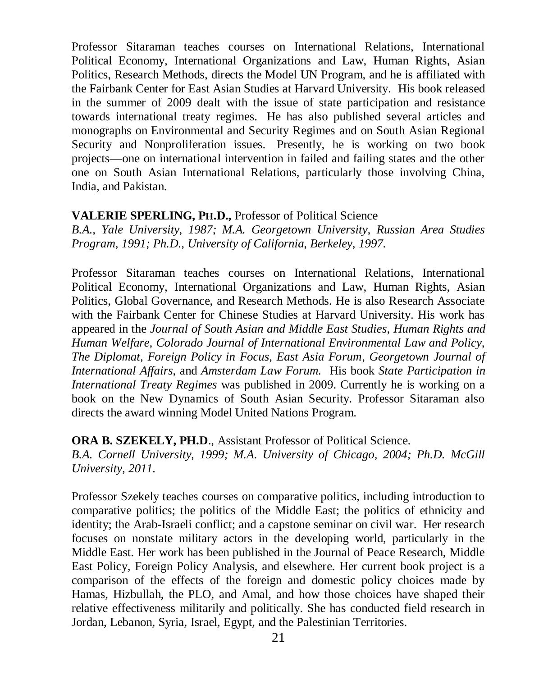Professor Sitaraman teaches courses on International Relations, International Political Economy, International Organizations and Law, Human Rights, Asian Politics, Research Methods, directs the Model UN Program, and he is affiliated with the Fairbank Center for East Asian Studies at Harvard University. His book released in the summer of 2009 dealt with the issue of state participation and resistance towards international treaty regimes. He has also published several articles and monographs on Environmental and Security Regimes and on South Asian Regional Security and Nonproliferation issues. Presently, he is working on two book projects—one on international intervention in failed and failing states and the other one on South Asian International Relations, particularly those involving China, India, and Pakistan.

#### **VALERIE SPERLING, PH.D.,** Professor of Political Science

*B.A., Yale University, 1987; M.A. Georgetown University, Russian Area Studies Program, 1991; Ph.D., University of California, Berkeley, 1997.*

Professor Sitaraman teaches courses on International Relations, International Political Economy, International Organizations and Law, Human Rights, Asian Politics, Global Governance, and Research Methods. He is also Research Associate with the Fairbank Center for Chinese Studies at Harvard University. His work has appeared in the *Journal of South Asian and Middle East Studies, Human Rights and Human Welfare, Colorado Journal of International Environmental Law and Policy, The Diplomat, Foreign Policy in Focus, East Asia Forum, Georgetown Journal of International Affairs,* and *Amsterdam Law Forum.* His book *State Participation in International Treaty Regimes* was published in 2009. Currently he is working on a book on the New Dynamics of South Asian Security. Professor Sitaraman also directs the award winning Model United Nations Program.

**ORA B. SZEKELY, PH.D., Assistant Professor of Political Science.** 

*B.A. Cornell University, 1999; M.A. University of Chicago, 2004; Ph.D. McGill University, 2011.*

Professor Szekely teaches courses on comparative politics, including introduction to comparative politics; the politics of the Middle East; the politics of ethnicity and identity; the Arab-Israeli conflict; and a capstone seminar on civil war. Her research focuses on nonstate military actors in the developing world, particularly in the Middle East. Her work has been published in the Journal of Peace Research, Middle East Policy, Foreign Policy Analysis, and elsewhere. Her current book project is a comparison of the effects of the foreign and domestic policy choices made by Hamas, Hizbullah, the PLO, and Amal, and how those choices have shaped their relative effectiveness militarily and politically. She has conducted field research in Jordan, Lebanon, Syria, Israel, Egypt, and the Palestinian Territories.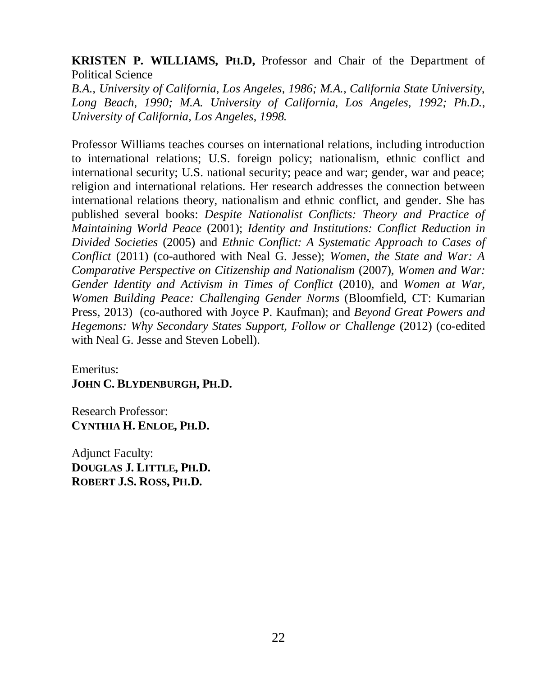#### **KRISTEN P. WILLIAMS, PH.D,** Professor and Chair of the Department of Political Science

*B.A., University of California, Los Angeles, 1986; M.A., California State University, Long Beach, 1990; M.A. University of California, Los Angeles, 1992; Ph.D., University of California, Los Angeles, 1998.*

Professor Williams teaches courses on international relations, including introduction to international relations; U.S. foreign policy; nationalism, ethnic conflict and international security; U.S. national security; peace and war; gender, war and peace; religion and international relations. Her research addresses the connection between international relations theory, nationalism and ethnic conflict, and gender. She has published several books: *Despite Nationalist Conflicts: Theory and Practice of Maintaining World Peace* (2001); *Identity and Institutions: Conflict Reduction in Divided Societies* (2005) and *Ethnic Conflict: A Systematic Approach to Cases of Conflict* (2011) (co-authored with Neal G. Jesse); *Women, the State and War: A Comparative Perspective on Citizenship and Nationalism* (2007), *Women and War: Gender Identity and Activism in Times of Conflict* (2010), and *Women at War, Women Building Peace: Challenging Gender Norms* (Bloomfield, CT: Kumarian Press, 2013) (co-authored with Joyce P. Kaufman); and *Beyond Great Powers and Hegemons: Why Secondary States Support, Follow or Challenge* (2012) (co-edited with Neal G. Jesse and Steven Lobell).

Emeritus: **JOHN C. BLYDENBURGH, PH.D.**

Research Professor: **CYNTHIA H. ENLOE, PH.D.**

Adjunct Faculty: **DOUGLAS J. LITTLE, PH.D. ROBERT J.S. ROSS, PH.D.**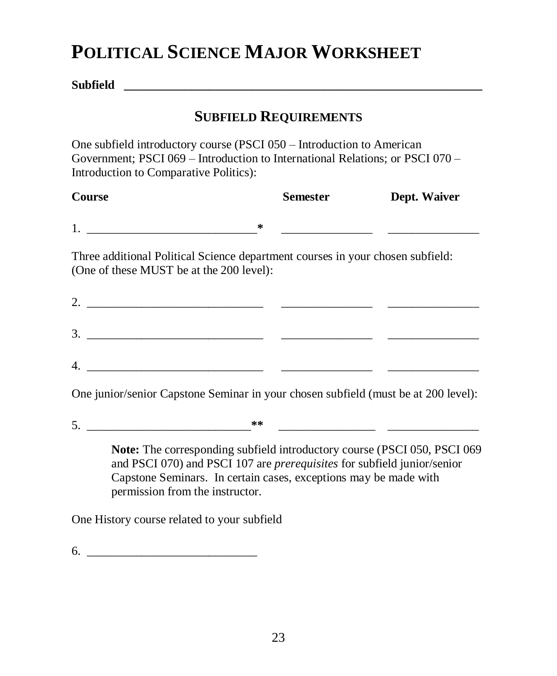## **POLITICAL SCIENCE MAJOR WORKSHEET**

**Subfield \_\_\_\_\_\_\_\_\_\_\_\_\_\_\_\_\_\_\_\_\_\_\_\_\_\_\_\_\_\_\_\_\_\_\_\_\_\_\_\_\_\_\_\_\_\_\_\_\_\_\_\_\_\_\_\_\_\_\_**

### **SUBFIELD REQUIREMENTS**

One subfield introductory course (PSCI 050 – Introduction to American Government; PSCI 069 – Introduction to International Relations; or PSCI 070 – Introduction to Comparative Politics):

| Course                                                                                                                     | Semester | Dept. Waiver |
|----------------------------------------------------------------------------------------------------------------------------|----------|--------------|
| $\ast$                                                                                                                     |          |              |
| Three additional Political Science department courses in your chosen subfield:<br>(One of these MUST be at the 200 level): |          |              |
| 2. $\qquad \qquad$                                                                                                         |          |              |
| 3.                                                                                                                         |          |              |

One junior/senior Capstone Seminar in your chosen subfield (must be at 200 level):

4. \_\_\_\_\_\_\_\_\_\_\_\_\_\_\_\_\_\_\_\_\_\_\_\_\_\_\_\_\_ \_\_\_\_\_\_\_\_\_\_\_\_\_\_\_ \_\_\_\_\_\_\_\_\_\_\_\_\_\_\_

 $5.$   $*$ 

**Note:** The corresponding subfield introductory course (PSCI 050, PSCI 069 and PSCI 070) and PSCI 107 are *prerequisites* for subfield junior/senior Capstone Seminars. In certain cases, exceptions may be made with permission from the instructor.

One History course related to your subfield

 $6.$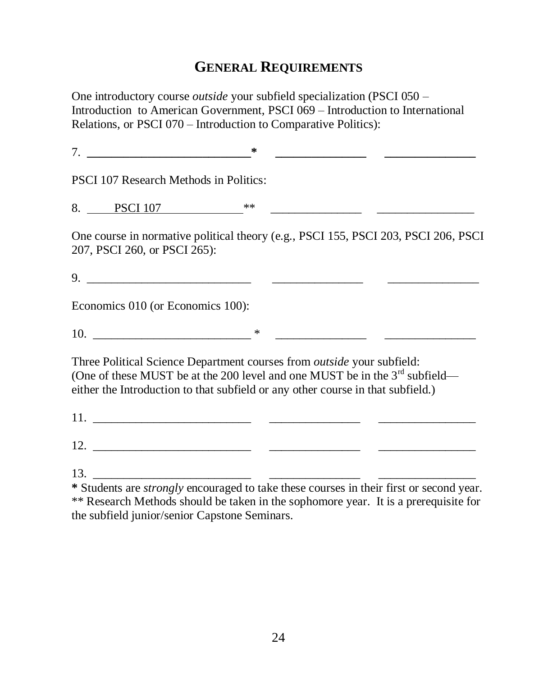#### **GENERAL REQUIREMENTS**

One introductory course *outside* your subfield specialization (PSCI 050 – Introduction to American Government, PSCI 069 – Introduction to International Relations, or PSCI 070 – Introduction to Comparative Politics):

7. **\_\_\_\_\_\_\_\_\_\_\_\_\_\_\_\_\_\_\_\_\_\_\_\_\_\_\_\* \_\_\_\_\_\_\_\_\_\_\_\_\_\_\_ \_\_\_\_\_\_\_\_\_\_\_\_\_\_\_** PSCI 107 Research Methods in Politics: 8. PSCI 107 \*\* One course in normative political theory (e.g., PSCI 155, PSCI 203, PSCI 206, PSCI 207, PSCI 260, or PSCI 265): 9. \_\_\_\_\_\_\_\_\_\_\_\_\_\_\_\_\_\_\_\_\_\_\_\_\_\_\_ \_\_\_\_\_\_\_\_\_\_\_\_\_\_\_ \_\_\_\_\_\_\_\_\_\_\_\_\_\_\_ Economics 010 (or Economics 100):  $10.$  \* Three Political Science Department courses from *outside* your subfield: (One of these MUST be at the 200 level and one MUST be in the  $3<sup>rd</sup>$  subfield either the Introduction to that subfield or any other course in that subfield.) 11. \_\_\_\_\_\_\_\_\_\_\_\_\_\_\_\_\_\_\_\_\_\_\_\_\_\_ \_\_\_\_\_\_\_\_\_\_\_\_\_\_\_ \_\_\_\_\_\_\_\_\_\_\_\_\_\_\_\_ 12. \_\_\_\_\_\_\_\_\_\_\_\_\_\_\_\_\_\_\_\_\_\_\_\_\_\_ \_\_\_\_\_\_\_\_\_\_\_\_\_\_\_ \_\_\_\_\_\_\_\_\_\_\_\_\_\_\_\_ 13. \_\_\_\_\_\_\_\_\_\_\_\_\_\_\_\_\_\_\_\_\_\_\_\_\_\_ \_\_\_\_\_\_\_\_\_\_\_\_\_\_\_ \_\_\_\_\_\_\_\_\_\_\_\_\_\_\_\_ **\*** Students are *strongly* encouraged to take these courses in their first or second year.

\*\* Research Methods should be taken in the sophomore year. It is a prerequisite for the subfield junior/senior Capstone Seminars.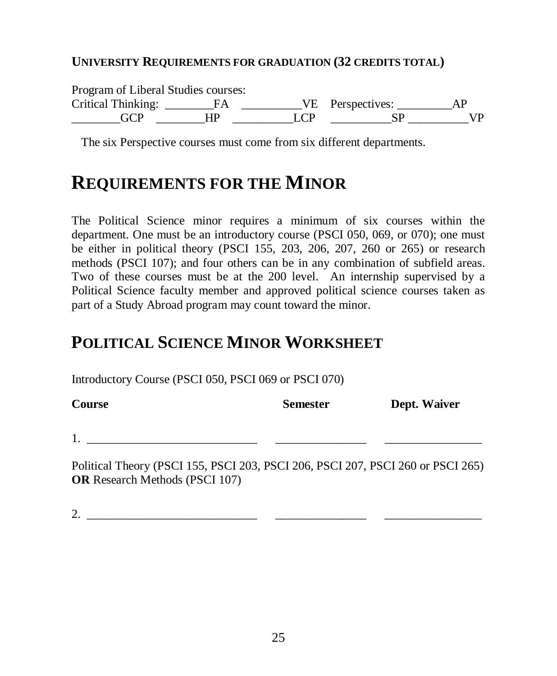#### **UNIVERSITY REQUIREMENTS FOR GRADUATION (32 CREDITS TOTAL)**

Program of Liberal Studies courses:

Critical Thinking: \_\_\_\_\_\_\_\_FA \_\_\_\_\_\_\_\_\_\_VE Perspectives: \_\_\_\_\_\_\_\_\_AP \_\_\_\_\_\_\_\_GCP \_\_\_\_\_\_\_\_HP \_\_\_\_\_\_\_\_\_\_LCP \_\_\_\_\_\_\_\_\_\_SP \_\_\_\_\_\_\_\_\_\_VP

The six Perspective courses must come from six different departments.

## **REQUIREMENTS FOR THE MINOR**

The Political Science minor requires a minimum of six courses within the department. One must be an introductory course (PSCI 050, 069, or 070); one must be either in political theory (PSCI 155, 203, 206, 207, 260 or 265) or research methods (PSCI 107); and four others can be in any combination of subfield areas. Two of these courses must be at the 200 level. An internship supervised by a Political Science faculty member and approved political science courses taken as part of a Study Abroad program may count toward the minor.

## **POLITICAL SCIENCE MINOR WORKSHEET**

Introductory Course (PSCI 050, PSCI 069 or PSCI 070)

| <b>Course</b>                                                                   | <b>Semester</b> | Dept. Waiver |
|---------------------------------------------------------------------------------|-----------------|--------------|
|                                                                                 |                 |              |
| Political Theory (PSCI 155, PSCI 203, PSCI 206, PSCI 207, PSCI 260 or PSCI 265) |                 |              |

(PSCI 155, PSCI 203, PSCI 206, PSCI 207, PSCI 260 or PSCI 265) **OR** Research Methods (PSCI 107)

2. \_\_\_\_\_\_\_\_\_\_\_\_\_\_\_\_\_\_\_\_\_\_\_\_\_\_\_\_ \_\_\_\_\_\_\_\_\_\_\_\_\_\_\_ \_\_\_\_\_\_\_\_\_\_\_\_\_\_\_\_